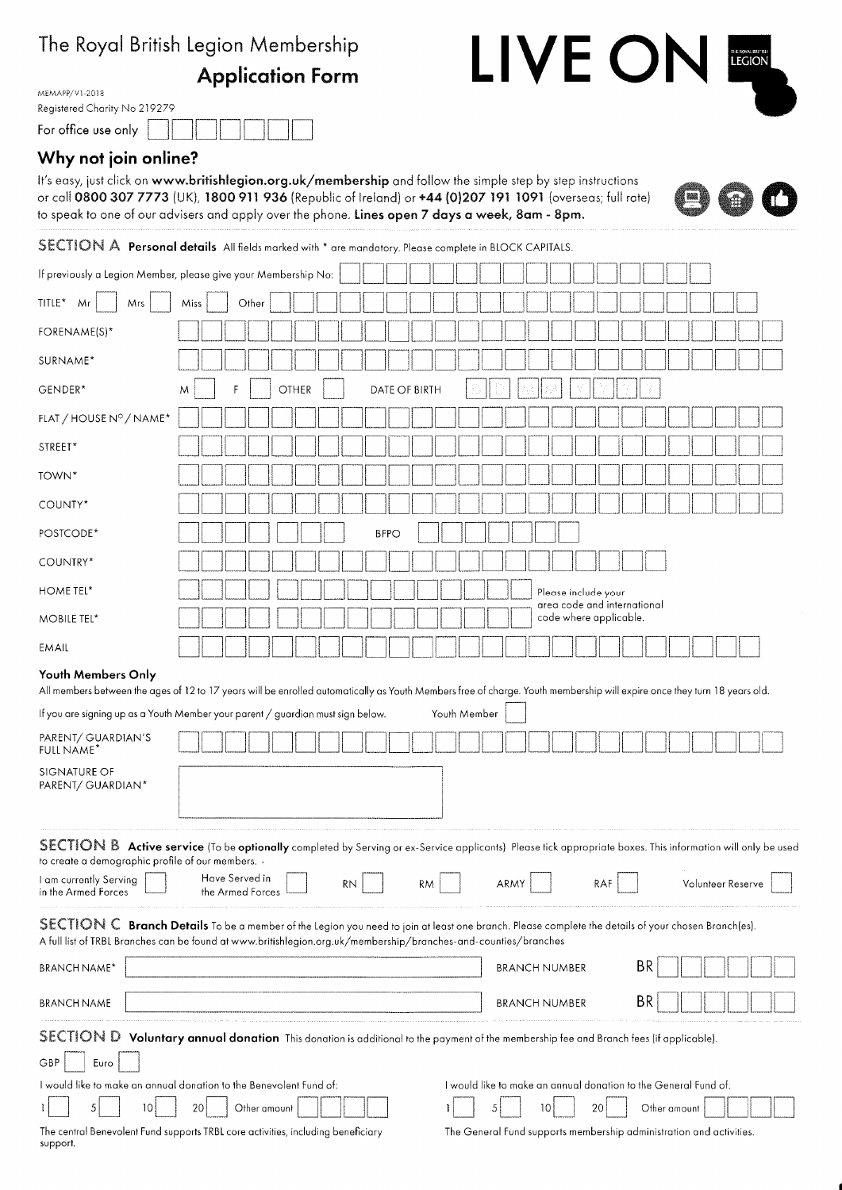# The Royal British Legion Membership

**Application Form** 

| MEMAPP/V1-2018               |  |  |
|------------------------------|--|--|
| Registered Charity No 219279 |  |  |
| For office use only          |  |  |

## Why not join online?

It's easy, just click on www.britishlegion.org.uk/membership and follow the simple step by step instructions or call 0800 307 7773 (UK), 1800 911 936 (Republic of Ireland) or +44 (0)207 191 1091 (overseas; full rate) to speak to one of our advisers and apply over the phone. Lines open 7 days a week, 8am - 8pm.



LIVE ON **EGION** 

SECTION A Personal details All fields marked with \* are mandatory. Please complete in BLOCK CAPITALS.

|                                                   | If previously a Legion Member, please give your Membership No:                                                                                                                                                                                                        |  |
|---------------------------------------------------|-----------------------------------------------------------------------------------------------------------------------------------------------------------------------------------------------------------------------------------------------------------------------|--|
| TITLE* Mr<br>Mrs                                  | Miss<br>Other                                                                                                                                                                                                                                                         |  |
| FORENAME(S)*                                      |                                                                                                                                                                                                                                                                       |  |
| SURNAME*                                          |                                                                                                                                                                                                                                                                       |  |
| GENDER*                                           | <b>OTHER</b><br>DATE OF BIRTH<br>M                                                                                                                                                                                                                                    |  |
| FLAT / HOUSE Nº / NAME*                           |                                                                                                                                                                                                                                                                       |  |
| STREET*                                           |                                                                                                                                                                                                                                                                       |  |
| TOWN*                                             |                                                                                                                                                                                                                                                                       |  |
| COUNTY*                                           |                                                                                                                                                                                                                                                                       |  |
| POSTCODE <sup>*</sup>                             | <b>BFPO</b>                                                                                                                                                                                                                                                           |  |
| COUNTRY*                                          |                                                                                                                                                                                                                                                                       |  |
| HOME TEL*                                         | Please include your                                                                                                                                                                                                                                                   |  |
| MOBILE TEL*                                       | area code and international<br>code where applicable.                                                                                                                                                                                                                 |  |
| EMAIL                                             |                                                                                                                                                                                                                                                                       |  |
| Youth Members Only                                | All members between the ages of 12 to 17 years will be enrolled automatically as Youth Members free of charge. Youth membership will expire once they turn 18 years old.                                                                                              |  |
|                                                   | If you are signing up as a Youth Member your parent / guardian must sign below.<br>Youth Member                                                                                                                                                                       |  |
| PARENT/ GUARDIAN'S<br><b>FULL NAME*</b>           |                                                                                                                                                                                                                                                                       |  |
| SIGNATURE OF<br>PARENT/ GUARDIAN*                 |                                                                                                                                                                                                                                                                       |  |
| to create a demographic profile of our members. . | SECTION B Active service (To be optionally completed by Serving or ex-Service applicants) Please tick appropriate boxes. This information will only be used                                                                                                           |  |
| I am currently Serving<br>in the Armed Forces     | Have Served in<br>ARMY<br>RAF<br>Volunteer Reserve<br>RN.<br><b>RM</b><br>the Armed Forces                                                                                                                                                                            |  |
|                                                   | SECTION C Branch Details To be a member of the Legion you need to join at least one branch. Please complete the details of your chosen Branch(es).<br>A full list of TRBL Branches can be found at www.britishlegion.org.uk/membership/branches-and-counties/branches |  |
| <b>BRANCH NAME*</b>                               | BR<br><b>BRANCH NUMBER</b>                                                                                                                                                                                                                                            |  |
| <b>BRANCH NAME</b>                                | BR<br><b>BRANCH NUMBER</b>                                                                                                                                                                                                                                            |  |
|                                                   | SECTION D Voluntary annual donation This donation is additional to the payment of the membership fee and Branch fees (if applicable).                                                                                                                                 |  |
| GBP<br>Euro                                       |                                                                                                                                                                                                                                                                       |  |
| 5<br>10                                           | I would like to make an annual donation to the Benevolent Fund of:<br>I would like to make an annual donation to the General Fund of:<br>Other amount<br>Other amount<br>20<br>20<br>5<br>10                                                                          |  |
|                                                   |                                                                                                                                                                                                                                                                       |  |

The General Fund supports membership administration and activities.